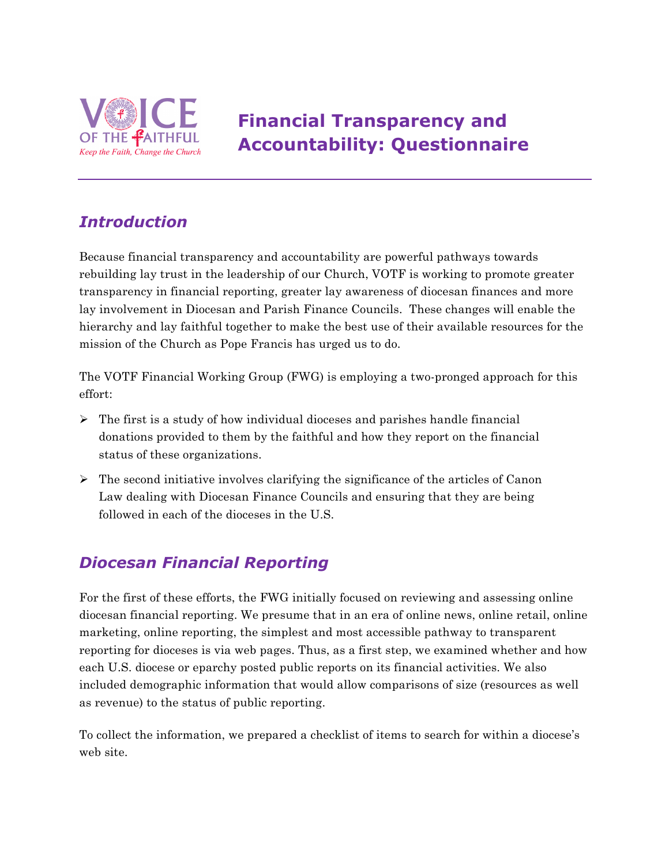

# **Financial Transparency and Accountability: Questionnaire**

### *Introduction*

Because financial transparency and accountability are powerful pathways towards rebuilding lay trust in the leadership of our Church, VOTF is working to promote greater transparency in financial reporting, greater lay awareness of diocesan finances and more lay involvement in Diocesan and Parish Finance Councils. These changes will enable the hierarchy and lay faithful together to make the best use of their available resources for the mission of the Church as Pope Francis has urged us to do.

The VOTF Financial Working Group (FWG) is employing a two-pronged approach for this effort:

- $\triangleright$  The first is a study of how individual dioceses and parishes handle financial donations provided to them by the faithful and how they report on the financial status of these organizations.
- $\triangleright$  The second initiative involves clarifying the significance of the articles of Canon Law dealing with Diocesan Finance Councils and ensuring that they are being followed in each of the dioceses in the U.S.

## *Diocesan Financial Reporting*

For the first of these efforts, the FWG initially focused on reviewing and assessing online diocesan financial reporting. We presume that in an era of online news, online retail, online marketing, online reporting, the simplest and most accessible pathway to transparent reporting for dioceses is via web pages. Thus, as a first step, we examined whether and how each U.S. diocese or eparchy posted public reports on its financial activities. We also included demographic information that would allow comparisons of size (resources as well as revenue) to the status of public reporting.

To collect the information, we prepared a checklist of items to search for within a diocese's web site.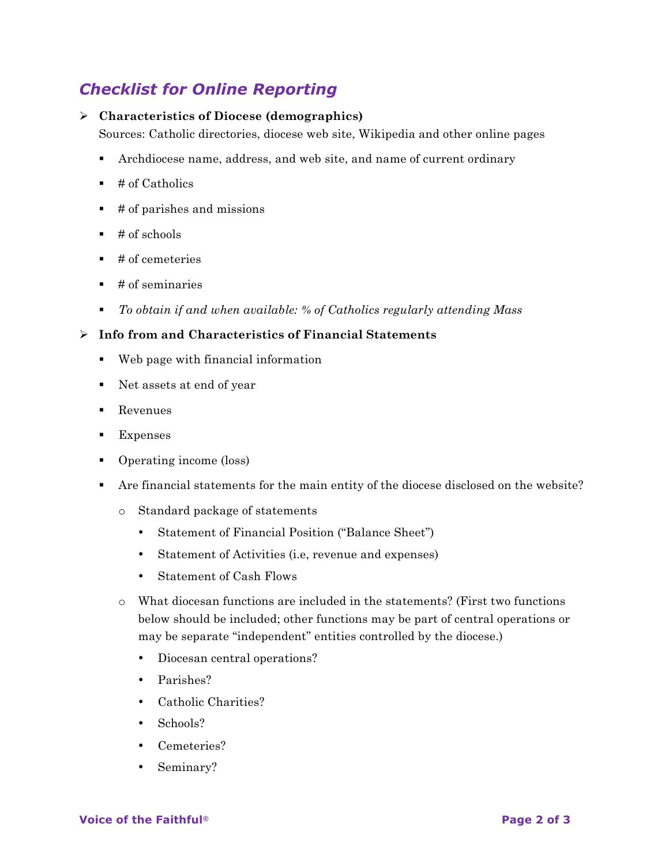### *Checklist for Online Reporting*

#### Ø **Characteristics of Diocese (demographics)**

Sources: Catholic directories, diocese web site, Wikipedia and other online pages

- § Archdiocese name, address, and web site, and name of current ordinary
- $\blacksquare$  # of Catholics
- $\bullet$  # of parishes and missions
- $\bullet$  # of schools
- $\blacksquare$  # of cemeteries
- $\blacksquare$  # of seminaries
- § *To obtain if and when available: % of Catholics regularly attending Mass*

#### Ø **Info from and Characteristics of Financial Statements**

- Web page with financial information
- Net assets at end of year
- Revenues
- Expenses
- Operating income (loss)
- § Are financial statements for the main entity of the diocese disclosed on the website?
	- o Standard package of statements
		- Statement of Financial Position ("Balance Sheet")
		- Statement of Activities (i.e, revenue and expenses)
		- Statement of Cash Flows
	- o What diocesan functions are included in the statements? (First two functions below should be included; other functions may be part of central operations or may be separate "independent" entities controlled by the diocese.)
		- Diocesan central operations?
		- Parishes?
		- Catholic Charities?
		- Schools?
		- Cemeteries?
		- Seminary?